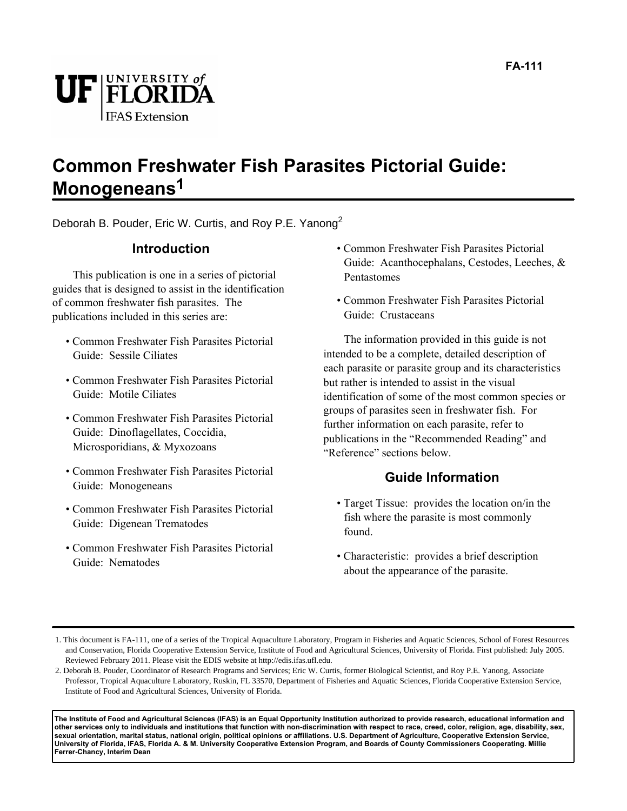

### **Common Freshwater Fish Parasites Pictorial Guide: Monogeneans1**

Deborah B. Pouder, Eric W. Curtis, and Roy P.E. Yanong<sup>2</sup>

#### **Introduction**

This publication is one in a series of pictorial guides that is designed to assist in the identification of common freshwater fish parasites. The publications included in this series are:

- Common Freshwater Fish Parasites Pictorial Guide: Sessile Ciliates
- Common Freshwater Fish Parasites Pictorial Guide: Motile Ciliates
- Common Freshwater Fish Parasites Pictorial Guide: Dinoflagellates, Coccidia, Microsporidians, & Myxozoans
- Common Freshwater Fish Parasites Pictorial Guide: Monogeneans
- Common Freshwater Fish Parasites Pictorial Guide: Digenean Trematodes
- Common Freshwater Fish Parasites Pictorial Guide: Nematodes
- Common Freshwater Fish Parasites Pictorial Guide: Acanthocephalans, Cestodes, Leeches, & Pentastomes
- Common Freshwater Fish Parasites Pictorial Guide: Crustaceans

The information provided in this guide is not intended to be a complete, detailed description of each parasite or parasite group and its characteristics but rather is intended to assist in the visual identification of some of the most common species or groups of parasites seen in freshwater fish. For further information on each parasite, refer to publications in the "Recommended Reading" and "Reference" sections below.

#### **Guide Information**

- Target Tissue: provides the location on/in the fish where the parasite is most commonly found.
- Characteristic: provides a brief description about the appearance of the parasite.

**The Institute of Food and Agricultural Sciences (IFAS) is an Equal Opportunity Institution authorized to provide research, educational information and other services only to individuals and institutions that function with non-discrimination with respect to race, creed, color, religion, age, disability, sex, sexual orientation, marital status, national origin, political opinions or affiliations. U.S. Department of Agriculture, Cooperative Extension Service, University of Florida, IFAS, Florida A. & M. University Cooperative Extension Program, and Boards of County Commissioners Cooperating. Millie Ferrer-Chancy, Interim Dean**

<sup>1.</sup> This document is FA-111, one of a series of the Tropical Aquaculture Laboratory, Program in Fisheries and Aquatic Sciences, School of Forest Resources and Conservation, Florida Cooperative Extension Service, Institute of Food and Agricultural Sciences, University of Florida. First published: July 2005. Reviewed February 2011. Please visit the EDIS website at http://edis.ifas.ufl.edu.

<sup>2.</sup> Deborah B. Pouder, Coordinator of Research Programs and Services; Eric W. Curtis, former Biological Scientist, and Roy P.E. Yanong, Associate Professor, Tropical Aquaculture Laboratory, Ruskin, FL 33570, Department of Fisheries and Aquatic Sciences, Florida Cooperative Extension Service, Institute of Food and Agricultural Sciences, University of Florida.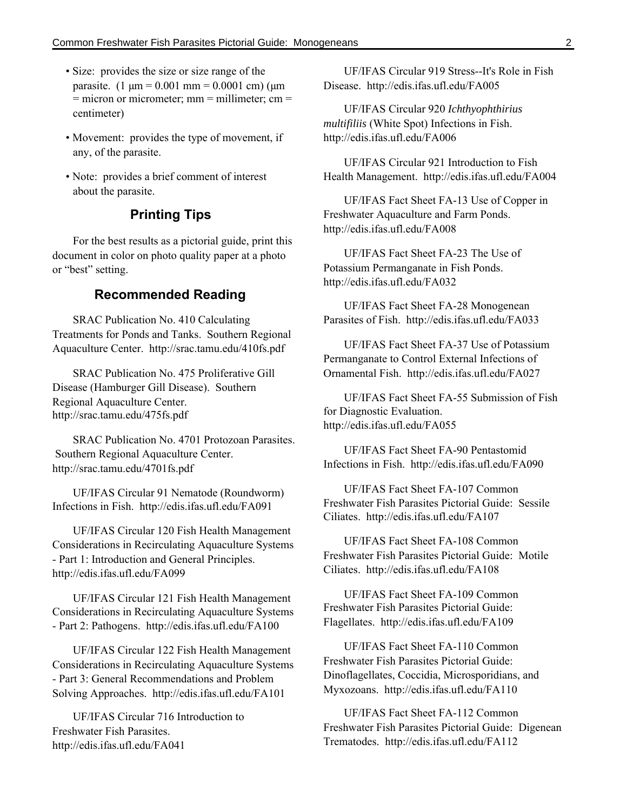- Size: provides the size or size range of the parasite.  $(1 \text{ µm} = 0.001 \text{ mm} = 0.0001 \text{ cm})$  ( $\text{µm}$ )  $=$  micron or micrometer; mm  $=$  millimeter; cm  $=$ centimeter)
- Movement: provides the type of movement, if any, of the parasite.
- Note: provides a brief comment of interest about the parasite.

#### **Printing Tips**

For the best results as a pictorial guide, print this document in color on photo quality paper at a photo or "best" setting.

#### **Recommended Reading**

SRAC Publication No. 410 Calculating Treatments for Ponds and Tanks. Southern Regional Aquaculture Center. http://srac.tamu.edu/410fs.pdf

SRAC Publication No. 475 Proliferative Gill Disease (Hamburger Gill Disease). Southern Regional Aquaculture Center. http://srac.tamu.edu/475fs.pdf

SRAC Publication No. 4701 Protozoan Parasites. Southern Regional Aquaculture Center. http://srac.tamu.edu/4701fs.pdf

UF/IFAS Circular 91 Nematode (Roundworm) Infections in Fish. http://edis.ifas.ufl.edu/FA091

UF/IFAS Circular 120 Fish Health Management Considerations in Recirculating Aquaculture Systems - Part 1: Introduction and General Principles. http://edis.ifas.ufl.edu/FA099

UF/IFAS Circular 121 Fish Health Management Considerations in Recirculating Aquaculture Systems - Part 2: Pathogens. http://edis.ifas.ufl.edu/FA100

UF/IFAS Circular 122 Fish Health Management Considerations in Recirculating Aquaculture Systems - Part 3: General Recommendations and Problem Solving Approaches. http://edis.ifas.ufl.edu/FA101

UF/IFAS Circular 716 Introduction to Freshwater Fish Parasites. http://edis.ifas.ufl.edu/FA041

UF/IFAS Circular 919 Stress--It's Role in Fish Disease. http://edis.ifas.ufl.edu/FA005

UF/IFAS Circular 920 *Ichthyophthirius multifiliis* (White Spot) Infections in Fish. http://edis.ifas.ufl.edu/FA006

UF/IFAS Circular 921 Introduction to Fish Health Management. http://edis.ifas.ufl.edu/FA004

UF/IFAS Fact Sheet FA-13 Use of Copper in Freshwater Aquaculture and Farm Ponds. http://edis.ifas.ufl.edu/FA008

UF/IFAS Fact Sheet FA-23 The Use of Potassium Permanganate in Fish Ponds. http://edis.ifas.ufl.edu/FA032

UF/IFAS Fact Sheet FA-28 Monogenean Parasites of Fish. http://edis.ifas.ufl.edu/FA033

UF/IFAS Fact Sheet FA-37 Use of Potassium Permanganate to Control External Infections of Ornamental Fish. http://edis.ifas.ufl.edu/FA027

UF/IFAS Fact Sheet FA-55 Submission of Fish for Diagnostic Evaluation. http://edis.ifas.ufl.edu/FA055

UF/IFAS Fact Sheet FA-90 Pentastomid Infections in Fish. http://edis.ifas.ufl.edu/FA090

UF/IFAS Fact Sheet FA-107 Common Freshwater Fish Parasites Pictorial Guide: Sessile Ciliates. http://edis.ifas.ufl.edu/FA107

UF/IFAS Fact Sheet FA-108 Common Freshwater Fish Parasites Pictorial Guide: Motile Ciliates. http://edis.ifas.ufl.edu/FA108

UF/IFAS Fact Sheet FA-109 Common Freshwater Fish Parasites Pictorial Guide: Flagellates. http://edis.ifas.ufl.edu/FA109

UF/IFAS Fact Sheet FA-110 Common Freshwater Fish Parasites Pictorial Guide: Dinoflagellates, Coccidia, Microsporidians, and Myxozoans. http://edis.ifas.ufl.edu/FA110

UF/IFAS Fact Sheet FA-112 Common Freshwater Fish Parasites Pictorial Guide: Digenean Trematodes. http://edis.ifas.ufl.edu/FA112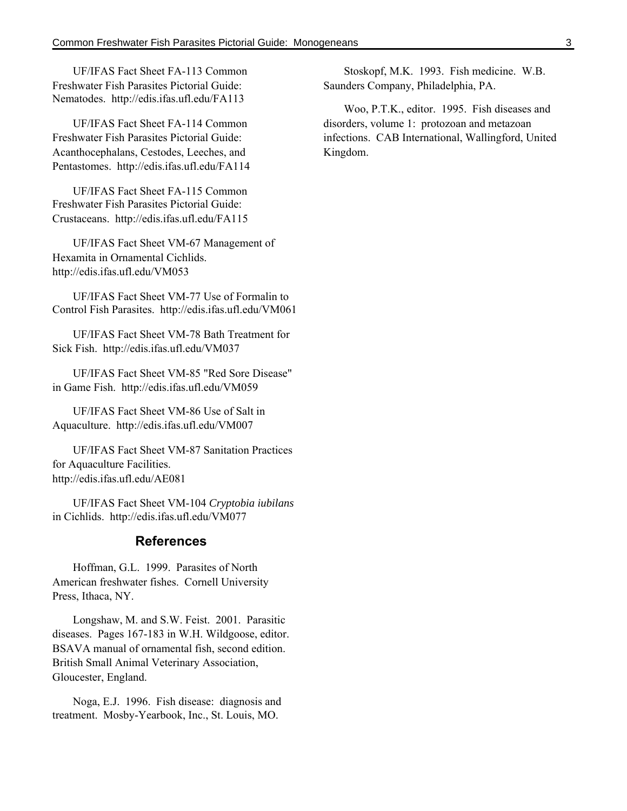UF/IFAS Fact Sheet FA-113 Common Freshwater Fish Parasites Pictorial Guide: Nematodes. http://edis.ifas.ufl.edu/FA113

UF/IFAS Fact Sheet FA-114 Common Freshwater Fish Parasites Pictorial Guide: Acanthocephalans, Cestodes, Leeches, and Pentastomes. http://edis.ifas.ufl.edu/FA114

UF/IFAS Fact Sheet FA-115 Common Freshwater Fish Parasites Pictorial Guide: Crustaceans. http://edis.ifas.ufl.edu/FA115

UF/IFAS Fact Sheet VM-67 Management of Hexamita in Ornamental Cichlids. http://edis.ifas.ufl.edu/VM053

UF/IFAS Fact Sheet VM-77 Use of Formalin to Control Fish Parasites. http://edis.ifas.ufl.edu/VM061

UF/IFAS Fact Sheet VM-78 Bath Treatment for Sick Fish. http://edis.ifas.ufl.edu/VM037

UF/IFAS Fact Sheet VM-85 "Red Sore Disease" in Game Fish. http://edis.ifas.ufl.edu/VM059

UF/IFAS Fact Sheet VM-86 Use of Salt in Aquaculture. http://edis.ifas.ufl.edu/VM007

UF/IFAS Fact Sheet VM-87 Sanitation Practices for Aquaculture Facilities. http://edis.ifas.ufl.edu/AE081

UF/IFAS Fact Sheet VM-104 *Cryptobia iubilans* in Cichlids. http://edis.ifas.ufl.edu/VM077

#### **References**

Hoffman, G.L. 1999. Parasites of North American freshwater fishes. Cornell University Press, Ithaca, NY.

Longshaw, M. and S.W. Feist. 2001. Parasitic diseases. Pages 167-183 in W.H. Wildgoose, editor. BSAVA manual of ornamental fish, second edition. British Small Animal Veterinary Association, Gloucester, England.

Noga, E.J. 1996. Fish disease: diagnosis and treatment. Mosby-Yearbook, Inc., St. Louis, MO.

Stoskopf, M.K. 1993. Fish medicine. W.B. Saunders Company, Philadelphia, PA.

Woo, P.T.K., editor. 1995. Fish diseases and disorders, volume 1: protozoan and metazoan infections. CAB International, Wallingford, United Kingdom.